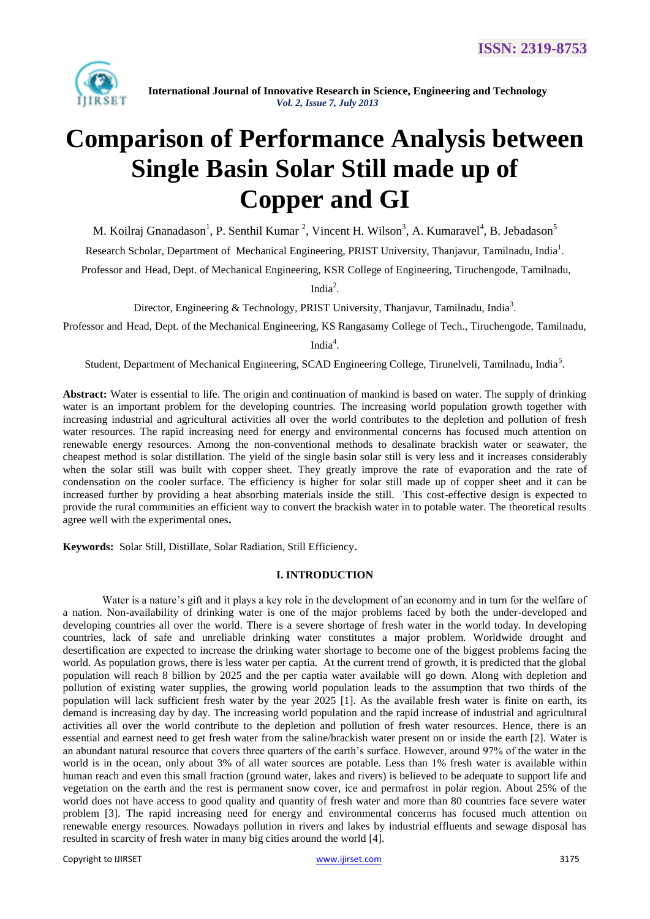

# **Comparison of Performance Analysis between Single Basin Solar Still made up of Copper and GI**

M. Koilraj Gnanadason<sup>1</sup>, P. Senthil Kumar<sup>2</sup>, Vincent H. Wilson<sup>3</sup>, A. Kumaravel<sup>4</sup>, B. Jebadason<sup>5</sup>

Research Scholar, Department of Mechanical Engineering, PRIST University, Thanjavur, Tamilnadu, India<sup>1</sup>.

Professor and Head, Dept. of Mechanical Engineering, KSR College of Engineering, Tiruchengode, Tamilnadu,

India $^2$ .

Director, Engineering & Technology, PRIST University, Thanjavur, Tamilnadu, India<sup>3</sup>.

Professor and Head, Dept. of the Mechanical Engineering, KS Rangasamy College of Tech., Tiruchengode, Tamilnadu,

India<sup>4</sup>.

Student, Department of Mechanical Engineering, SCAD Engineering College, Tirunelveli, Tamilnadu, India<sup>5</sup>.

**Abstract:** Water is essential to life. The origin and continuation of mankind is based on water. The supply of drinking water is an important problem for the developing countries. The increasing world population growth together with increasing industrial and agricultural activities all over the world contributes to the depletion and pollution of fresh water resources. The rapid increasing need for energy and environmental concerns has focused much attention on renewable energy resources. Among the non-conventional methods to desalinate brackish water or seawater, the cheapest method is solar distillation. The yield of the single basin solar still is very less and it increases considerably when the solar still was built with copper sheet. They greatly improve the rate of evaporation and the rate of condensation on the cooler surface. The efficiency is higher for solar still made up of copper sheet and it can be increased further by providing a heat absorbing materials inside the still. This cost-effective design is expected to provide the rural communities an efficient way to convert the brackish water in to potable water. The theoretical results agree well with the experimental ones**.**

**Keywords:** Solar Still, Distillate, Solar Radiation, Still Efficiency.

## **I. INTRODUCTION**

Water is a nature's gift and it plays a key role in the development of an economy and in turn for the welfare of a nation. Non-availability of drinking water is one of the major problems faced by both the under-developed and developing countries all over the world. There is a severe shortage of fresh water in the world today. In developing countries, lack of safe and unreliable drinking water constitutes a major problem. Worldwide drought and desertification are expected to increase the drinking water shortage to become one of the biggest problems facing the world. As population grows, there is less water per captia. At the current trend of growth, it is predicted that the global population will reach 8 billion by 2025 and the per captia water available will go down. Along with depletion and pollution of existing water supplies, the growing world population leads to the assumption that two thirds of the population will lack sufficient fresh water by the year 2025 [1]. As the available fresh water is finite on earth, its demand is increasing day by day. The increasing world population and the rapid increase of industrial and agricultural activities all over the world contribute to the depletion and pollution of fresh water resources. Hence, there is an essential and earnest need to get fresh water from the saline/brackish water present on or inside the earth [2]. Water is an abundant natural resource that covers three quarters of the earth's surface. However, around 97% of the water in the world is in the ocean, only about 3% of all water sources are potable. Less than 1% fresh water is available within human reach and even this small fraction (ground water, lakes and rivers) is believed to be adequate to support life and vegetation on the earth and the rest is permanent snow cover, ice and permafrost in polar region. About 25% of the world does not have access to good quality and quantity of fresh water and more than 80 countries face severe water problem [3]. The rapid increasing need for energy and environmental concerns has focused much attention on renewable energy resources. Nowadays pollution in rivers and lakes by industrial effluents and sewage disposal has resulted in scarcity of fresh water in many big cities around the world [4].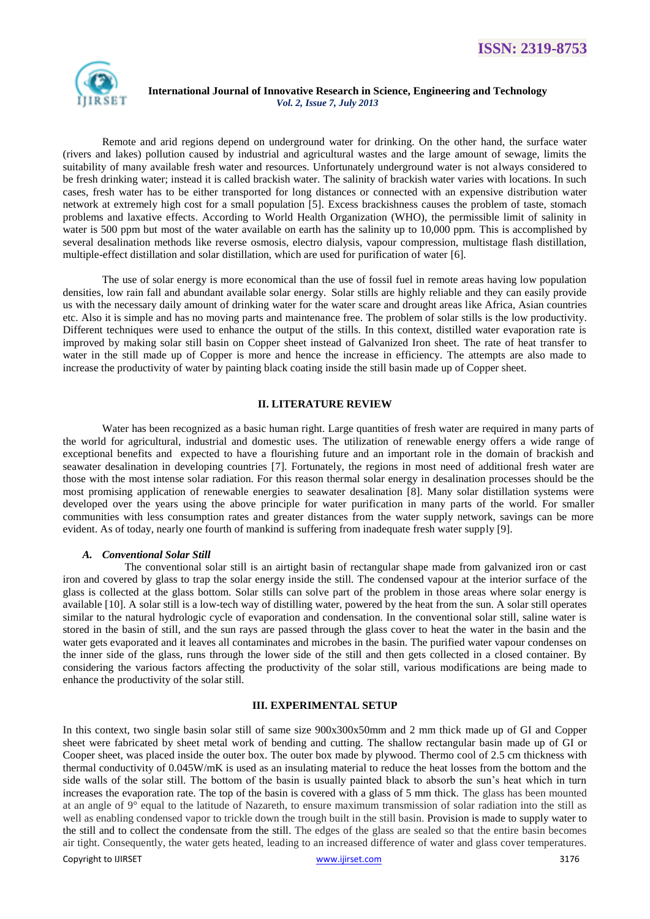

Remote and arid regions depend on underground water for drinking. On the other hand, the surface water (rivers and lakes) pollution caused by industrial and agricultural wastes and the large amount of sewage, limits the suitability of many available fresh water and resources. Unfortunately underground water is not always considered to be fresh drinking water; instead it is called brackish water. The salinity of brackish water varies with locations. In such cases, fresh water has to be either transported for long distances or connected with an expensive distribution water network at extremely high cost for a small population [5]. Excess brackishness causes the problem of taste, stomach problems and laxative effects. According to World Health Organization (WHO), the permissible limit of salinity in water is 500 ppm but most of the water available on earth has the salinity up to 10,000 ppm. This is accomplished by several desalination methods like reverse osmosis, electro dialysis, vapour compression, multistage flash distillation, multiple-effect distillation and solar distillation, which are used for purification of water [6].

The use of solar energy is more economical than the use of fossil fuel in remote areas having low population densities, low rain fall and abundant available solar energy. Solar stills are highly reliable and they can easily provide us with the necessary daily amount of drinking water for the water scare and drought areas like Africa, Asian countries etc. Also it is simple and has no moving parts and maintenance free. The problem of solar stills is the low productivity. Different techniques were used to enhance the output of the stills. In this context, distilled water evaporation rate is improved by making solar still basin on Copper sheet instead of Galvanized Iron sheet. The rate of heat transfer to water in the still made up of Copper is more and hence the increase in efficiency. The attempts are also made to increase the productivity of water by painting black coating inside the still basin made up of Copper sheet.

## **II. LITERATURE REVIEW**

Water has been recognized as a basic human right. Large quantities of fresh water are required in many parts of the world for agricultural, industrial and domestic uses. The utilization of renewable energy offers a wide range of exceptional benefits and expected to have a flourishing future and an important role in the domain of brackish and seawater desalination in developing countries [7]. Fortunately, the regions in most need of additional fresh water are those with the most intense solar radiation. For this reason thermal solar energy in desalination processes should be the most promising application of renewable energies to seawater desalination [8]. Many solar distillation systems were developed over the years using the above principle for water purification in many parts of the world. For smaller communities with less consumption rates and greater distances from the water supply network, savings can be more evident. As of today, nearly one fourth of mankind is suffering from inadequate fresh water supply [9].

## *A. Conventional Solar Still*

The conventional solar still is an airtight basin of rectangular shape made from galvanized iron or cast iron and covered by glass to trap the solar energy inside the still. The condensed vapour at the interior surface of the glass is collected at the glass bottom. Solar stills can solve part of the problem in those areas where solar energy is available [10]. A solar still is a low-tech way of distilling water, powered by the heat from the sun. A solar still operates similar to the natural hydrologic cycle of evaporation and condensation. In the conventional solar still, saline water is stored in the basin of still, and the sun rays are passed through the glass cover to heat the water in the basin and the water gets evaporated and it leaves all contaminates and microbes in the basin. The purified water vapour condenses on the inner side of the glass, runs through the lower side of the still and then gets collected in a closed container. By considering the various factors affecting the productivity of the solar still, various modifications are being made to enhance the productivity of the solar still.

#### **III. EXPERIMENTAL SETUP**

Copyright to IJIRSET [www.ijirset.com](http://www.ijirset.com/) 3176 In this context, two single basin solar still of same size 900x300x50mm and 2 mm thick made up of GI and Copper sheet were fabricated by sheet metal work of bending and cutting. The shallow rectangular basin made up of GI or Cooper sheet, was placed inside the outer box. The outer box made by plywood. Thermo cool of 2.5 cm thickness with thermal conductivity of 0.045W/mK is used as an insulating material to reduce the heat losses from the bottom and the side walls of the solar still. The bottom of the basin is usually painted black to absorb the sun's heat which in turn increases the evaporation rate. The top of the basin is covered with a glass of 5 mm thick. The glass has been mounted at an angle of  $9^\circ$  equal to the latitude of Nazareth, to ensure maximum transmission of solar radiation into the still as well as enabling condensed vapor to trickle down the trough built in the still basin. Provision is made to supply water to the still and to collect the condensate from the still. The edges of the glass are sealed so that the entire basin becomes air tight. Consequently, the water gets heated, leading to an increased difference of water and glass cover temperatures.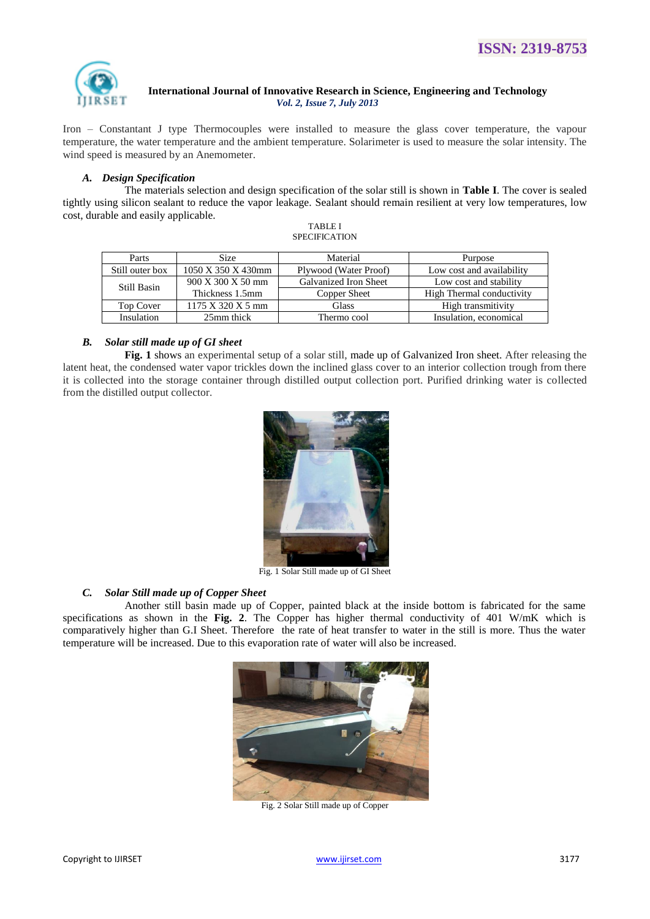

Iron – Constantant J type Thermocouples were installed to measure the glass cover temperature, the vapour temperature, the water temperature and the ambient temperature. Solarimeter is used to measure the solar intensity. The wind speed is measured by an Anemometer.

## *A. Design Specification*

The materials selection and design specification of the solar still is shown in **Table I**. The cover is sealed tightly using silicon sealant to reduce the vapor leakage. Sealant should remain resilient at very low temperatures, low cost, durable and easily applicable.

| <b>TABLE I</b>       |  |  |  |
|----------------------|--|--|--|
| <b>SPECIFICATION</b> |  |  |  |

| Parts            | <b>Size</b>                                   | Material              | Purpose                   |  |
|------------------|-----------------------------------------------|-----------------------|---------------------------|--|
| Still outer box  | 1050 X 350 X 430mm                            | Plywood (Water Proof) | Low cost and availability |  |
| Still Basin      | 900 X 300 X 50 mm                             | Galvanized Iron Sheet | Low cost and stability    |  |
|                  | Thickness 1.5mm                               | Copper Sheet          | High Thermal conductivity |  |
| <b>Top Cover</b> | $1175 \text{ X } 320 \text{ X } 5 \text{ mm}$ | Glass                 | High transmitivity        |  |
| Insulation       | 25mm thick                                    | Thermo cool           | Insulation, economical    |  |

## *B. Solar still made up of GI sheet*

**Fig. 1** shows an experimental setup of a solar still, made up of Galvanized Iron sheet. After releasing the latent heat, the condensed water vapor trickles down the inclined glass cover to an interior collection trough from there it is collected into the storage container through distilled output collection port. Purified drinking water is collected from the distilled output collector.



Fig. 1 Solar Still made up of GI Sheet

## *C. Solar Still made up of Copper Sheet*

Another still basin made up of Copper, painted black at the inside bottom is fabricated for the same specifications as shown in the **Fig. 2**. The Copper has higher thermal conductivity of 401 W/mK which is comparatively higher than G.I Sheet. Therefore the rate of heat transfer to water in the still is more. Thus the water temperature will be increased. Due to this evaporation rate of water will also be increased.



Fig. 2 Solar Still made up of Copper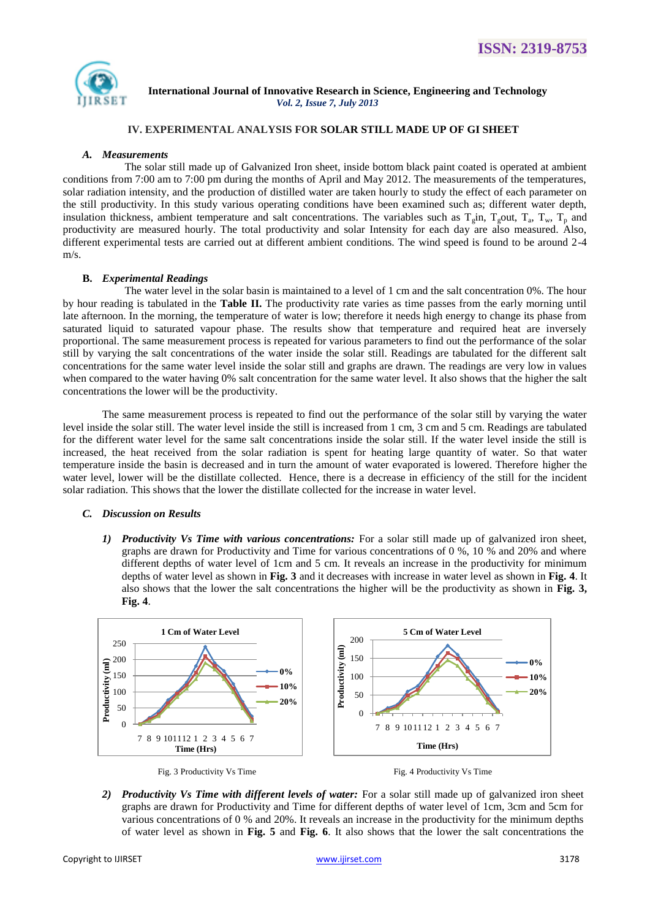

# **IV. EXPERIMENTAL ANALYSIS FOR SOLAR STILL MADE UP OF GI SHEET**

#### *A. Measurements*

The solar still made up of Galvanized Iron sheet, inside bottom black paint coated is operated at ambient conditions from 7:00 am to 7:00 pm during the months of April and May 2012. The measurements of the temperatures, solar radiation intensity, and the production of distilled water are taken hourly to study the effect of each parameter on the still productivity. In this study various operating conditions have been examined such as; different water depth, insulation thickness, ambient temperature and salt concentrations. The variables such as  $T_g$ in,  $T_g$ out,  $T_a$ ,  $T_w$ ,  $T_p$  and productivity are measured hourly. The total productivity and solar Intensity for each day are also measured. Also, different experimental tests are carried out at different ambient conditions. The wind speed is found to be around 2-4 m/s.

#### **B.** *Experimental Readings*

The water level in the solar basin is maintained to a level of 1 cm and the salt concentration 0%. The hour by hour reading is tabulated in the **Table II.** The productivity rate varies as time passes from the early morning until late afternoon. In the morning, the temperature of water is low; therefore it needs high energy to change its phase from saturated liquid to saturated vapour phase. The results show that temperature and required heat are inversely proportional. The same measurement process is repeated for various parameters to find out the performance of the solar still by varying the salt concentrations of the water inside the solar still. Readings are tabulated for the different salt concentrations for the same water level inside the solar still and graphs are drawn. The readings are very low in values when compared to the water having 0% salt concentration for the same water level. It also shows that the higher the salt concentrations the lower will be the productivity.

The same measurement process is repeated to find out the performance of the solar still by varying the water level inside the solar still. The water level inside the still is increased from 1 cm, 3 cm and 5 cm. Readings are tabulated for the different water level for the same salt concentrations inside the solar still. If the water level inside the still is increased, the heat received from the solar radiation is spent for heating large quantity of water. So that water temperature inside the basin is decreased and in turn the amount of water evaporated is lowered. Therefore higher the water level, lower will be the distillate collected. Hence, there is a decrease in efficiency of the still for the incident solar radiation. This shows that the lower the distillate collected for the increase in water level.

#### *C. Discussion on Results*

*1) Productivity Vs Time with various concentrations:* For a solar still made up of galvanized iron sheet, graphs are drawn for Productivity and Time for various concentrations of 0 %, 10 % and 20% and where different depths of water level of 1cm and 5 cm. It reveals an increase in the productivity for minimum depths of water level as shown in **Fig. 3** and it decreases with increase in water level as shown in **Fig. 4**. It also shows that the lower the salt concentrations the higher will be the productivity as shown in **Fig. 3, Fig. 4**.



2) *Productivity Vs Time with different levels of water:* For a solar still made up of galvanized iron sheet graphs are drawn for Productivity and Time for different depths of water level of 1cm, 3cm and 5cm for various concentrations of 0 % and 20%. It reveals an increase in the productivity for the minimum depths of water level as shown in **Fig. 5** and **Fig. 6**. It also shows that the lower the salt concentrations the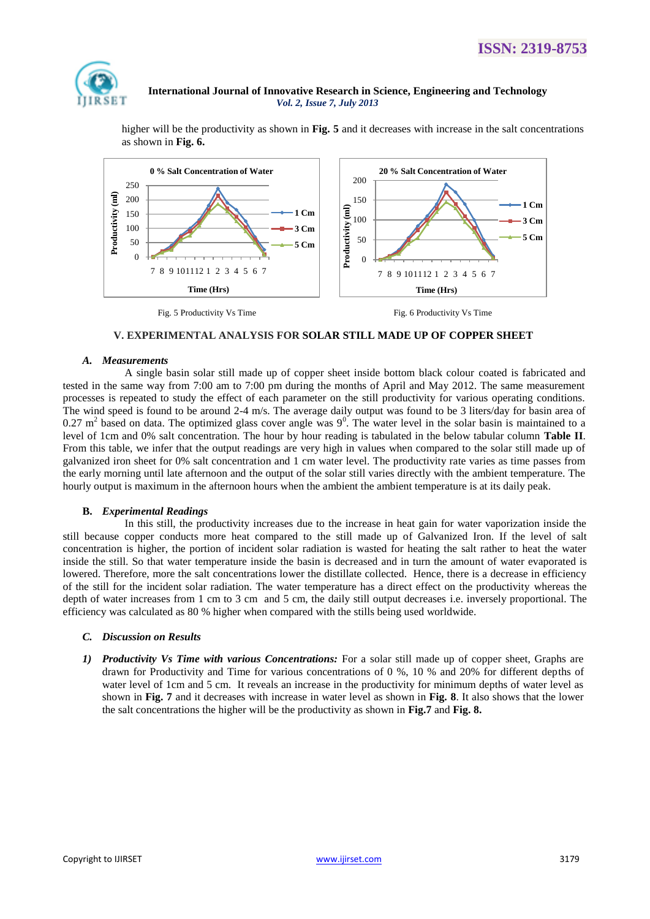

higher will be the productivity as shown in **Fig. 5** and it decreases with increase in the salt concentrations as shown in **Fig. 6.**



## **V. EXPERIMENTAL ANALYSIS FOR SOLAR STILL MADE UP OF COPPER SHEET**

#### *A. Measurements*

A single basin solar still made up of copper sheet inside bottom black colour coated is fabricated and tested in the same way from 7:00 am to 7:00 pm during the months of April and May 2012. The same measurement processes is repeated to study the effect of each parameter on the still productivity for various operating conditions. The wind speed is found to be around 2-4 m/s. The average daily output was found to be 3 liters/day for basin area of  $0.27$  m<sup>2</sup> based on data. The optimized glass cover angle was  $9^0$ . The water level in the solar basin is maintained to a level of 1cm and 0% salt concentration. The hour by hour reading is tabulated in the below tabular column **Table II**. From this table, we infer that the output readings are very high in values when compared to the solar still made up of galvanized iron sheet for 0% salt concentration and 1 cm water level. The productivity rate varies as time passes from the early morning until late afternoon and the output of the solar still varies directly with the ambient temperature. The hourly output is maximum in the afternoon hours when the ambient the ambient temperature is at its daily peak.

## **B.** *Experimental Readings*

In this still, the productivity increases due to the increase in heat gain for water vaporization inside the still because copper conducts more heat compared to the still made up of Galvanized Iron. If the level of salt concentration is higher, the portion of incident solar radiation is wasted for heating the salt rather to heat the water inside the still. So that water temperature inside the basin is decreased and in turn the amount of water evaporated is lowered. Therefore, more the salt concentrations lower the distillate collected. Hence, there is a decrease in efficiency of the still for the incident solar radiation. The water temperature has a direct effect on the productivity whereas the depth of water increases from 1 cm to 3 cm and 5 cm, the daily still output decreases i.e. inversely proportional. The efficiency was calculated as 80 % higher when compared with the stills being used worldwide.

## *C. Discussion on Results*

*1) Productivity Vs Time with various Concentrations:* For a solar still made up of copper sheet, Graphs are drawn for Productivity and Time for various concentrations of 0 %, 10 % and 20% for different depths of water level of 1cm and 5 cm. It reveals an increase in the productivity for minimum depths of water level as shown in **Fig. 7** and it decreases with increase in water level as shown in **Fig. 8**. It also shows that the lower the salt concentrations the higher will be the productivity as shown in **Fig.7** and **Fig. 8.**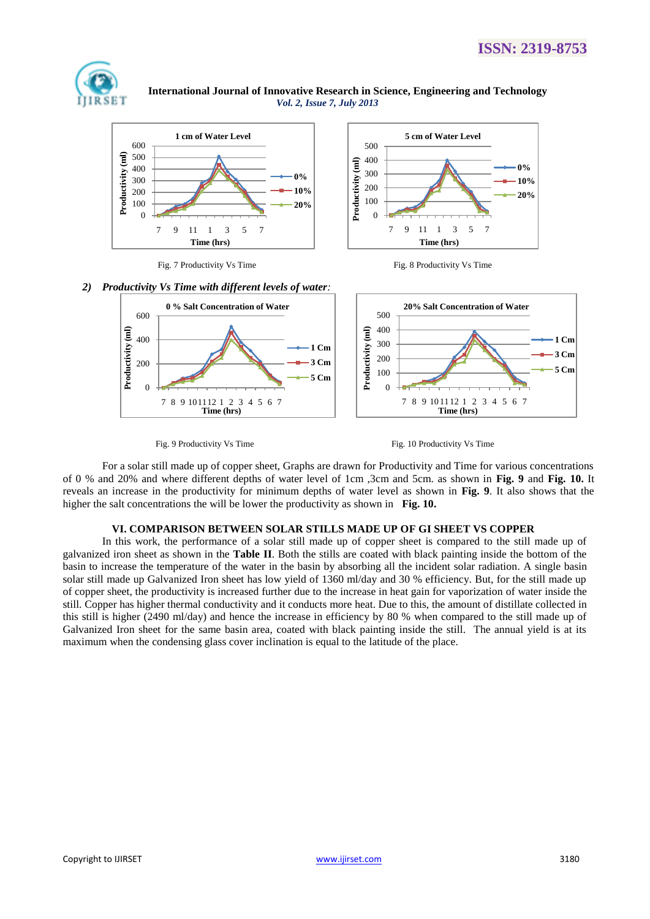

 **International Journal of Innovative Research in Science, Engineering and Technology** *Vol. 2, Issue 7, July 2013*



Fig. 7 Productivity Vs Time Fig. 8 Productivity Vs Time





Fig. 9 Productivity Vs Time Fig. 10 Productivity Vs Time

For a solar still made up of copper sheet, Graphs are drawn for Productivity and Time for various concentrations of 0 % and 20% and where different depths of water level of 1cm ,3cm and 5cm. as shown in **Fig. 9** and **Fig. 10.** It reveals an increase in the productivity for minimum depths of water level as shown in **Fig. 9**. It also shows that the higher the salt concentrations the will be lower the productivity as shown in **Fig. 10.**

# **VI. COMPARISON BETWEEN SOLAR STILLS MADE UP OF GI SHEET VS COPPER**

In this work, the performance of a solar still made up of copper sheet is compared to the still made up of galvanized iron sheet as shown in the **Table II**. Both the stills are coated with black painting inside the bottom of the basin to increase the temperature of the water in the basin by absorbing all the incident solar radiation. A single basin solar still made up Galvanized Iron sheet has low yield of 1360 ml/day and 30 % efficiency. But, for the still made up of copper sheet, the productivity is increased further due to the increase in heat gain for vaporization of water inside the still. Copper has higher thermal conductivity and it conducts more heat. Due to this, the amount of distillate collected in this still is higher (2490 ml/day) and hence the increase in efficiency by 80 % when compared to the still made up of Galvanized Iron sheet for the same basin area, coated with black painting inside the still. The annual yield is at its maximum when the condensing glass cover inclination is equal to the latitude of the place.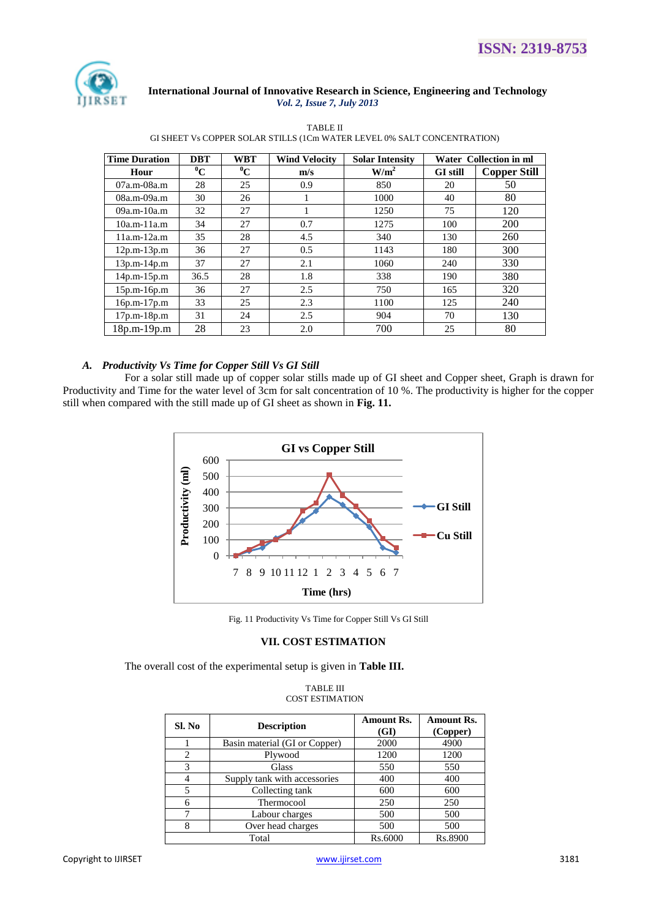

TABLE II GI SHEET Vs COPPER SOLAR STILLS (1Cm WATER LEVEL 0% SALT CONCENTRATION)

| <b>Time Duration</b> | <b>DBT</b>  | <b>WBT</b>  | <b>Wind Velocity</b> | <b>Solar Intensity</b> |                 | <b>Water Collection in ml</b> |
|----------------------|-------------|-------------|----------------------|------------------------|-----------------|-------------------------------|
| Hour                 | $\rm ^{0}C$ | $\rm ^{0}C$ | m/s                  | W/m <sup>2</sup>       | <b>GI</b> still | <b>Copper Still</b>           |
| 07a.m-08a.m          | 28          | 25          | 0.9                  | 850                    | 20              | 50                            |
| 08a.m-09a.m          | 30          | 26          |                      | 1000                   | 40              | 80                            |
| $09a.m-10a.m$        | 32          | 27          | л.                   | 1250                   | 75              | 120                           |
| $10a.m-11a.m$        | 34          | 27          | 0.7                  | 1275                   | 100             | 200                           |
| $11a.m-12a.m$        | 35          | 28          | 4.5                  | 340                    | 130             | 260                           |
| $12p.m-13p.m$        | 36          | 27          | 0.5                  | 1143                   | 180             | 300                           |
| $13p.m-14p.m$        | 37          | 27          | 2.1                  | 1060                   | 240             | 330                           |
| $14p.m-15p.m$        | 36.5        | 28          | 1.8                  | 338                    | 190             | 380                           |
| $15p.m-16p.m$        | 36          | 27          | 2.5                  | 750                    | 165             | 320                           |
| $16p.m-17p.m$        | 33          | 25          | 2.3                  | 1100                   | 125             | 240                           |
| $17p.m-18p.m$        | 31          | 24          | 2.5                  | 904                    | 70              | 130                           |
| 18p.m-19p.m          | 28          | 23          | 2.0                  | 700                    | 25              | 80                            |

# *A. Productivity Vs Time for Copper Still Vs GI Still*

For a solar still made up of copper solar stills made up of GI sheet and Copper sheet, Graph is drawn for Productivity and Time for the water level of 3cm for salt concentration of 10 %. The productivity is higher for the copper still when compared with the still made up of GI sheet as shown in **Fig. 11.**



Fig. 11 Productivity Vs Time for Copper Still Vs GI Still

# **VII. COST ESTIMATION**

The overall cost of the experimental setup is given in **Table III.**

#### TABLE III COST ESTIMATION

| Sl. No                      | <b>Description</b>            | <b>Amount Rs.</b><br>(GI) | <b>Amount Rs.</b><br>(Copper) |
|-----------------------------|-------------------------------|---------------------------|-------------------------------|
|                             | Basin material (GI or Copper) | 2000                      | 4900                          |
| $\mathcal{D}_{\mathcal{L}}$ | Plywood                       | 1200                      | 1200                          |
| $\mathcal{R}$               | Glass                         | 550                       | 550                           |
|                             | Supply tank with accessories  | 400                       | 400                           |
| 5                           | Collecting tank               | 600                       | 600                           |
| 6                           | Thermocool                    | 250                       | 250                           |
| 7                           | Labour charges                | 500                       | 500                           |
| 8                           | Over head charges             | 500                       | 500                           |
|                             | Total                         | Rs.6000                   | Rs.8900                       |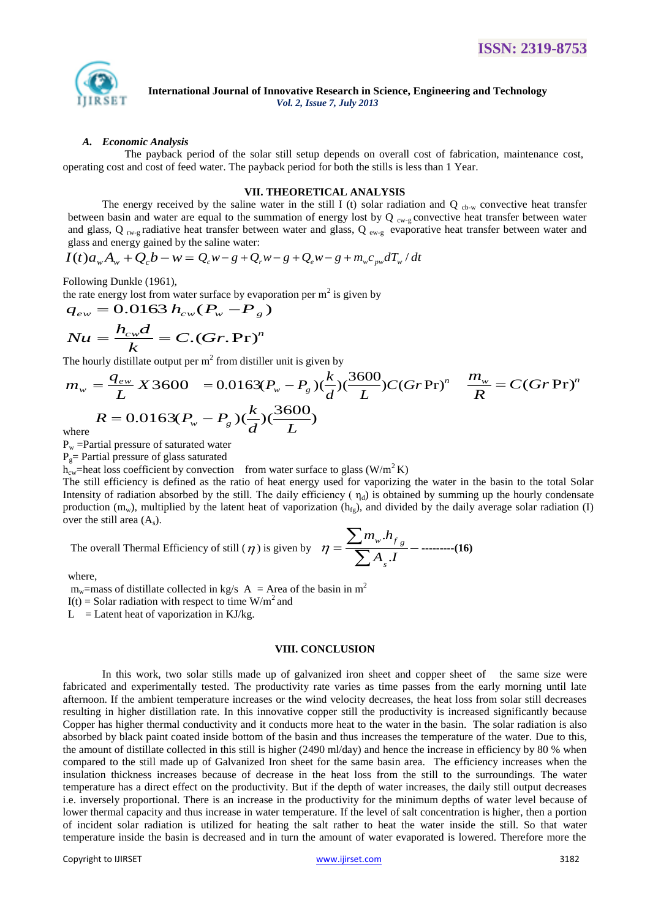

#### *A. Economic Analysis*

The payback period of the solar still setup depends on overall cost of fabrication, maintenance cost, operating cost and cost of feed water. The payback period for both the stills is less than 1 Year.

#### **VII. THEORETICAL ANALYSIS**

The energy received by the saline water in the still I (t) solar radiation and Q  $_{cb-w}$  convective heat transfer between basin and water are equal to the summation of energy lost by  $Q_{cw-g}$  convective heat transfer between water and glass, Q  $_{rw-g}$  radiative heat transfer between water and glass, Q  $_{ew-g}$  evaporative heat transfer between water and glass and energy gained by the saline water:

$$
I(t)a_wA_w + Q_cb - w = Q_cw - g + Q_rw - g + Q_ew - g + m_wc_{pw}dT_w/dt
$$

Following Dunkle (1961),

the rate energy lost from water surface by evaporation per m<sup>2</sup> is given by  $q_{ew} = 0.0163 h_{cw} (P_w - P_g)$ 

$$
q_{ew} = 0.0163 h_{cw} (P_w - P_g)
$$
  

$$
Nu = \frac{h_{cw}d}{k} = C.(Gr. Pr)^n
$$

The hourly distillate output per  $m^2$  from distiller unit is given by

$$
m_w = \frac{q_{ew}}{L} X 3600 = 0.0163(P_w - P_g)(\frac{k}{d})(\frac{3600}{L})C(GrPr)^n \quad \frac{m_w}{R} = C(GrPr)^n
$$
  
\n
$$
R = 0.0163(P_w - P_g)(\frac{k}{d})(\frac{3600}{L})
$$
  
\nwhere

 $P_w$  =Partial pressure of saturated water

 $P_g$ = Partial pressure of glass saturated

 $h_{cw}$ =heat loss coefficient by convection from water surface to glass (W/m<sup>2</sup>K)

The still efficiency is defined as the ratio of heat energy used for vaporizing the water in the basin to the total Solar Intensity of radiation absorbed by the still. The daily efficiency ( $\eta_d$ ) is obtained by summing up the hourly condensate production  $(m_w)$ , multiplied by the latent heat of vaporization  $(h_{fg})$ , and divided by the daily average solar radiation (I) over the still area  $(A_s)$ .

The overall Thermal Efficiency of still ( $\eta$ ) is given by  $\eta = \frac{\sqrt{A}}{2} \frac{1}{A}$  $m_{\scriptscriptstyle w}$ *h s*  $w$ <sup>*M*</sup> $f$ <sub>g</sub> . .  $\overline{\sum}$  $\eta = \frac{\sum m_w . h_{f_g}}{\sum_{i=1}^{n} m_i}$  - ---------(16)

where,

m<sub>w</sub>=mass of distillate collected in kg/s  $A = Area$  of the basin in m<sup>2</sup>

 $I(t)$  = Solar radiation with respect to time W/m<sup>2</sup> and

 $L =$  Latent heat of vaporization in KJ/kg.

#### **VIII. CONCLUSION**

In this work, two solar stills made up of galvanized iron sheet and copper sheet of the same size were fabricated and experimentally tested. The productivity rate varies as time passes from the early morning until late afternoon. If the ambient temperature increases or the wind velocity decreases, the heat loss from solar still decreases resulting in higher distillation rate. In this innovative copper still the productivity is increased significantly because Copper has higher thermal conductivity and it conducts more heat to the water in the basin. The solar radiation is also absorbed by black paint coated inside bottom of the basin and thus increases the temperature of the water. Due to this, the amount of distillate collected in this still is higher (2490 ml/day) and hence the increase in efficiency by 80 % when compared to the still made up of Galvanized Iron sheet for the same basin area. The efficiency increases when the insulation thickness increases because of decrease in the heat loss from the still to the surroundings. The water temperature has a direct effect on the productivity. But if the depth of water increases, the daily still output decreases i.e. inversely proportional. There is an increase in the productivity for the minimum depths of water level because of lower thermal capacity and thus increase in water temperature. If the level of salt concentration is higher, then a portion of incident solar radiation is utilized for heating the salt rather to heat the water inside the still. So that water temperature inside the basin is decreased and in turn the amount of water evaporated is lowered. Therefore more the